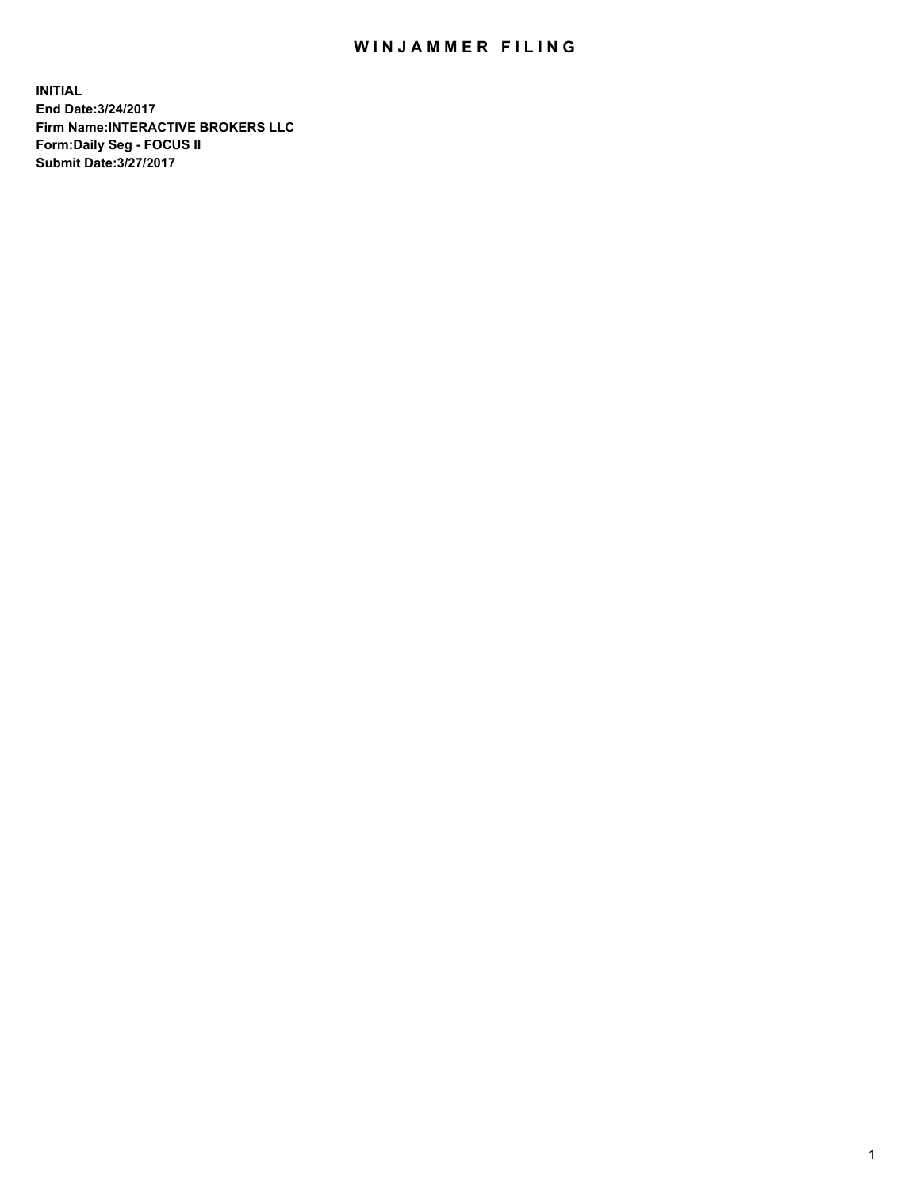## WIN JAMMER FILING

**INITIAL End Date:3/24/2017 Firm Name:INTERACTIVE BROKERS LLC Form:Daily Seg - FOCUS II Submit Date:3/27/2017**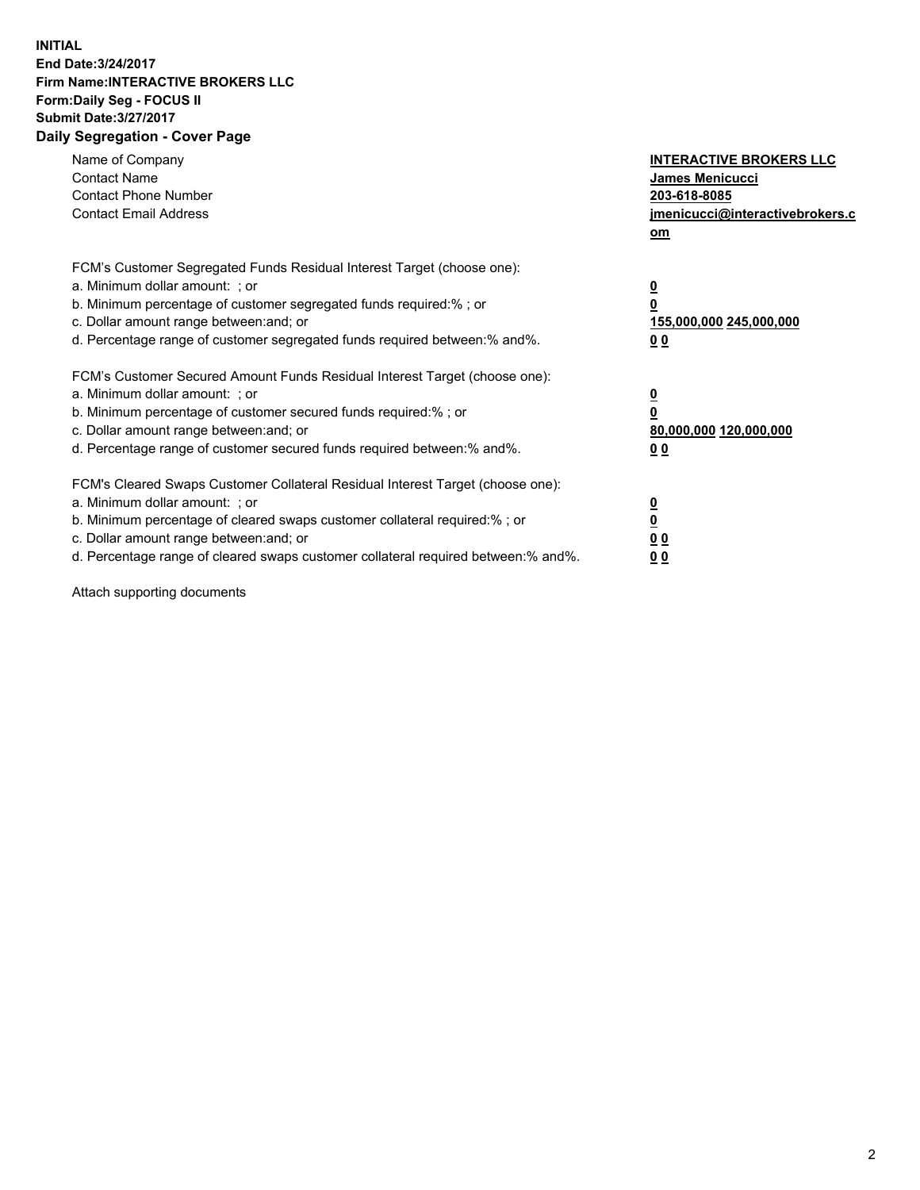## **INITIAL End Date:3/24/2017 Firm Name:INTERACTIVE BROKERS LLC Form:Daily Seg - FOCUS II Submit Date:3/27/2017 Daily Segregation - Cover Page**

| Name of Company<br><b>Contact Name</b><br><b>Contact Phone Number</b><br><b>Contact Email Address</b>                                                                                                                                                                                                                          | <b>INTERACTIVE BROKERS LLC</b><br>James Menicucci<br>203-618-8085<br><u>jmenicucci@interactivebrokers.c</u><br>om |
|--------------------------------------------------------------------------------------------------------------------------------------------------------------------------------------------------------------------------------------------------------------------------------------------------------------------------------|-------------------------------------------------------------------------------------------------------------------|
| FCM's Customer Segregated Funds Residual Interest Target (choose one):<br>a. Minimum dollar amount: ; or<br>b. Minimum percentage of customer segregated funds required:%; or<br>c. Dollar amount range between: and; or<br>d. Percentage range of customer segregated funds required between:% and%.                          | $\overline{\mathbf{0}}$<br>0<br>155,000,000 245,000,000<br>0 <sub>0</sub>                                         |
| FCM's Customer Secured Amount Funds Residual Interest Target (choose one):<br>a. Minimum dollar amount: ; or<br>b. Minimum percentage of customer secured funds required:%; or<br>c. Dollar amount range between: and; or<br>d. Percentage range of customer secured funds required between:% and%.                            | $\overline{\mathbf{0}}$<br>$\overline{\mathbf{0}}$<br>80,000,000 120,000,000<br>00                                |
| FCM's Cleared Swaps Customer Collateral Residual Interest Target (choose one):<br>a. Minimum dollar amount: ; or<br>b. Minimum percentage of cleared swaps customer collateral required:% ; or<br>c. Dollar amount range between: and; or<br>d. Percentage range of cleared swaps customer collateral required between:% and%. | $\overline{\mathbf{0}}$<br>$\overline{\mathbf{0}}$<br>0 <sub>0</sub><br><u>00</u>                                 |

Attach supporting documents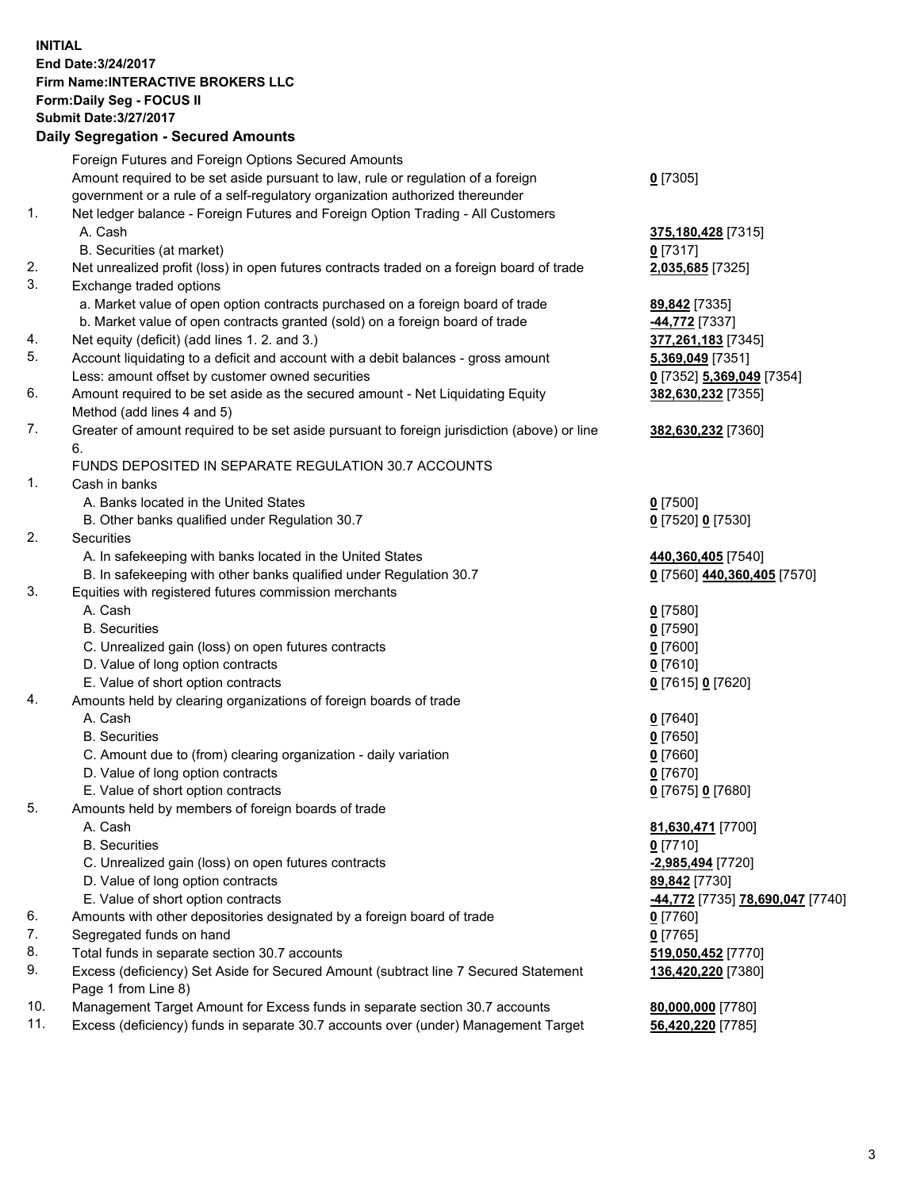## **INITIAL End Date:3/24/2017 Firm Name:INTERACTIVE BROKERS LLC Form:Daily Seg - FOCUS II**

|     | <b>Submit Date: 3/27/2017</b>                                                               |                                         |
|-----|---------------------------------------------------------------------------------------------|-----------------------------------------|
|     | <b>Daily Segregation - Secured Amounts</b>                                                  |                                         |
|     | Foreign Futures and Foreign Options Secured Amounts                                         |                                         |
|     | Amount required to be set aside pursuant to law, rule or regulation of a foreign            | $0$ [7305]                              |
|     | government or a rule of a self-regulatory organization authorized thereunder                |                                         |
| 1.  | Net ledger balance - Foreign Futures and Foreign Option Trading - All Customers             |                                         |
|     | A. Cash                                                                                     | 375,180,428 [7315]                      |
|     | B. Securities (at market)                                                                   | $0$ [7317]                              |
| 2.  | Net unrealized profit (loss) in open futures contracts traded on a foreign board of trade   | 2,035,685 [7325]                        |
| 3.  | Exchange traded options                                                                     |                                         |
|     | a. Market value of open option contracts purchased on a foreign board of trade              | 89,842 [7335]                           |
|     | b. Market value of open contracts granted (sold) on a foreign board of trade                | <b>44,772</b> [7337]                    |
| 4.  | Net equity (deficit) (add lines 1.2. and 3.)                                                | 377,261,183 [7345]                      |
| 5.  | Account liquidating to a deficit and account with a debit balances - gross amount           | 5,369,049 [7351]                        |
|     | Less: amount offset by customer owned securities                                            | 0 [7352] 5,369,049 [7354]               |
| 6.  | Amount required to be set aside as the secured amount - Net Liquidating Equity              | 382,630,232 [7355]                      |
|     | Method (add lines 4 and 5)                                                                  |                                         |
| 7.  | Greater of amount required to be set aside pursuant to foreign jurisdiction (above) or line | 382,630,232 [7360]                      |
|     | 6.                                                                                          |                                         |
|     | FUNDS DEPOSITED IN SEPARATE REGULATION 30.7 ACCOUNTS                                        |                                         |
| 1.  | Cash in banks                                                                               |                                         |
|     | A. Banks located in the United States                                                       | $0$ [7500]                              |
|     | B. Other banks qualified under Regulation 30.7                                              | 0 [7520] 0 [7530]                       |
| 2.  | Securities                                                                                  |                                         |
|     | A. In safekeeping with banks located in the United States                                   | 440,360,405 [7540]                      |
|     | B. In safekeeping with other banks qualified under Regulation 30.7                          | 0 [7560] 440,360,405 [7570]             |
| 3.  | Equities with registered futures commission merchants                                       |                                         |
|     | A. Cash                                                                                     | $0$ [7580]                              |
|     | <b>B.</b> Securities                                                                        | <u>0</u> [7590]                         |
|     | C. Unrealized gain (loss) on open futures contracts<br>D. Value of long option contracts    | $0$ [7600]<br>$0$ [7610]                |
|     | E. Value of short option contracts                                                          | 0 [7615] 0 [7620]                       |
| 4.  | Amounts held by clearing organizations of foreign boards of trade                           |                                         |
|     | A. Cash                                                                                     | $0$ [7640]                              |
|     | <b>B.</b> Securities                                                                        | <u>0</u> [7650]                         |
|     | C. Amount due to (from) clearing organization - daily variation                             | $0$ [7660]                              |
|     | D. Value of long option contracts                                                           | $0$ [7670]                              |
|     | E. Value of short option contracts                                                          | 0 [7675] 0 [7680]                       |
| 5.  | Amounts held by members of foreign boards of trade                                          |                                         |
|     | A. Cash                                                                                     | 81,630,471 [7700]                       |
|     | <b>B.</b> Securities                                                                        | 0 [7710]                                |
|     | C. Unrealized gain (loss) on open futures contracts                                         | -2,985,494 [7720]                       |
|     | D. Value of long option contracts                                                           | 89,842 [7730]                           |
|     | E. Value of short option contracts                                                          | <u>-44,772</u> [7735] 78,690,047 [7740] |
| 6.  | Amounts with other depositories designated by a foreign board of trade                      | 0 [7760]                                |
| 7.  | Segregated funds on hand                                                                    | $0$ [7765]                              |
| 8.  | Total funds in separate section 30.7 accounts                                               | 519,050,452 [7770]                      |
| 9.  | Excess (deficiency) Set Aside for Secured Amount (subtract line 7 Secured Statement         | 136,420,220 [7380]                      |
|     | Page 1 from Line 8)                                                                         |                                         |
| 10. | Management Target Amount for Excess funds in separate section 30.7 accounts                 | 80,000,000 [7780]                       |
| 11. | Excess (deficiency) funds in separate 30.7 accounts over (under) Management Target          | 56,420,220 [7785]                       |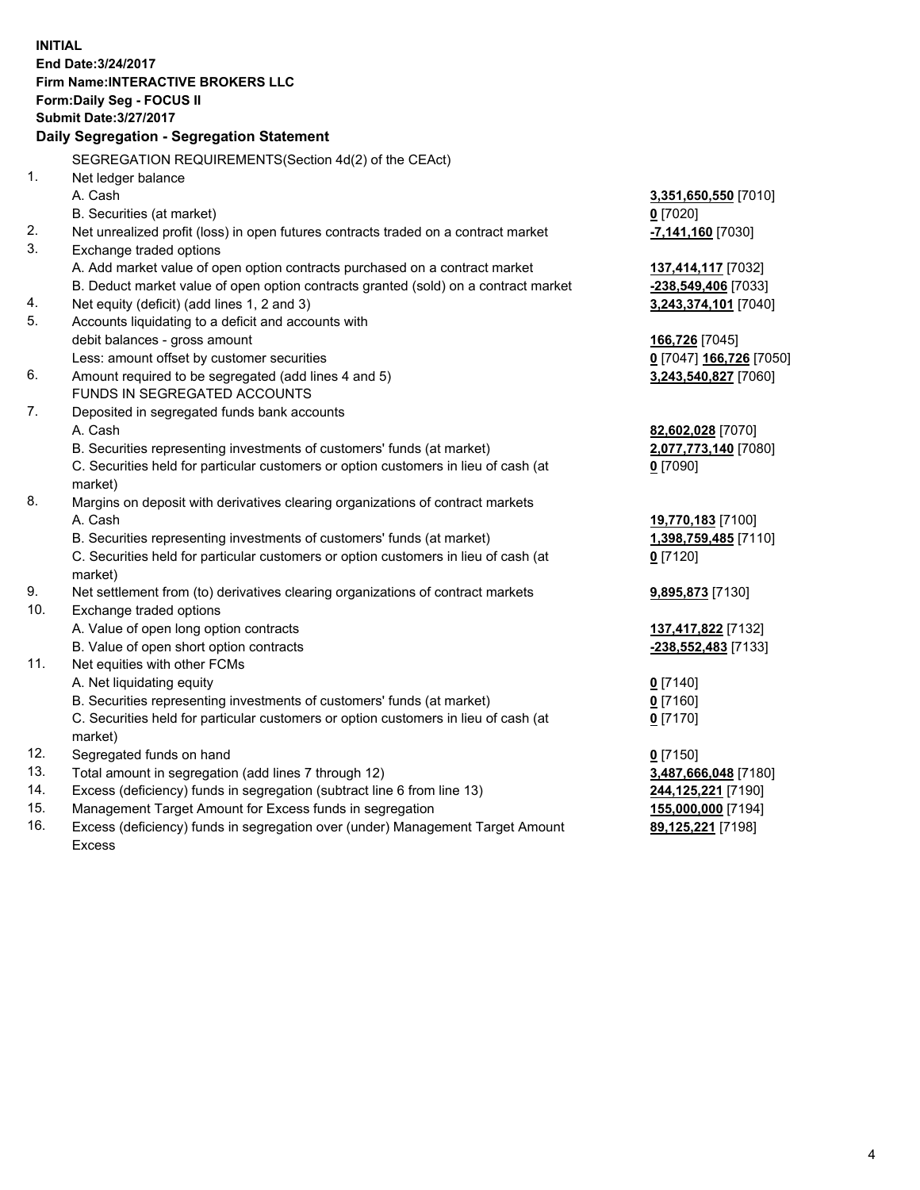**INITIAL End Date:3/24/2017 Firm Name:INTERACTIVE BROKERS LLC Form:Daily Seg - FOCUS II Submit Date:3/27/2017 Daily Segregation - Segregation Statement** SEGREGATION REQUIREMENTS(Section 4d(2) of the CEAct) 1. Net ledger balance A. Cash **3,351,650,550** [7010] B. Securities (at market) **0** [7020] 2. Net unrealized profit (loss) in open futures contracts traded on a contract market **-7,141,160** [7030] 3. Exchange traded options A. Add market value of open option contracts purchased on a contract market **137,414,117** [7032] B. Deduct market value of open option contracts granted (sold) on a contract market **-238,549,406** [7033] 4. Net equity (deficit) (add lines 1, 2 and 3) **3,243,374,101** [7040] 5. Accounts liquidating to a deficit and accounts with debit balances - gross amount **166,726** [7045] Less: amount offset by customer securities **0** [7047] **166,726** [7050] 6. Amount required to be segregated (add lines 4 and 5) **3,243,540,827** [7060] FUNDS IN SEGREGATED ACCOUNTS 7. Deposited in segregated funds bank accounts A. Cash **82,602,028** [7070] B. Securities representing investments of customers' funds (at market) **2,077,773,140** [7080] C. Securities held for particular customers or option customers in lieu of cash (at market) **0** [7090] 8. Margins on deposit with derivatives clearing organizations of contract markets A. Cash **19,770,183** [7100] B. Securities representing investments of customers' funds (at market) **1,398,759,485** [7110] C. Securities held for particular customers or option customers in lieu of cash (at market) **0** [7120] 9. Net settlement from (to) derivatives clearing organizations of contract markets **9,895,873** [7130] 10. Exchange traded options A. Value of open long option contracts **137,417,822** [7132] B. Value of open short option contracts **-238,552,483** [7133] 11. Net equities with other FCMs A. Net liquidating equity **0** [7140] B. Securities representing investments of customers' funds (at market) **0** [7160] C. Securities held for particular customers or option customers in lieu of cash (at market) **0** [7170] 12. Segregated funds on hand **0** [7150] 13. Total amount in segregation (add lines 7 through 12) **3,487,666,048** [7180] 14. Excess (deficiency) funds in segregation (subtract line 6 from line 13) **244,125,221** [7190] 15. Management Target Amount for Excess funds in segregation **155,000,000** [7194]

16. Excess (deficiency) funds in segregation over (under) Management Target Amount Excess

**89,125,221** [7198]